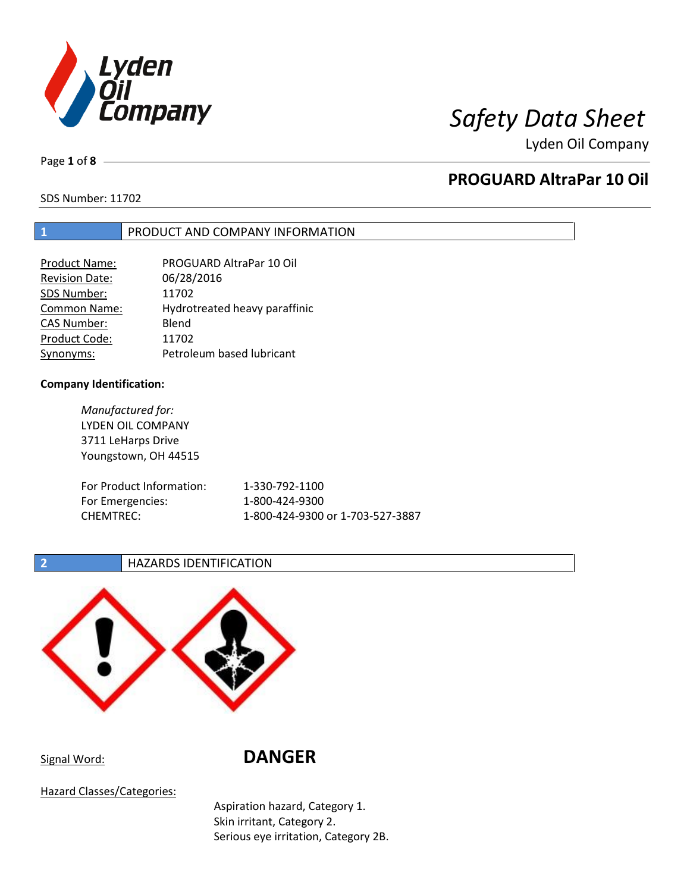

Page **1** of **8**

# **PROGUARD AltraPar 10 Oil**

SDS Number: 11702

## **1** PRODUCT AND COMPANY INFORMATION

| Product Name:       | PROGUARD AltraPar 10 Oil      |
|---------------------|-------------------------------|
| Revision Date:      | 06/28/2016                    |
| SDS Number:         | 11702                         |
| <b>Common Name:</b> | Hydrotreated heavy paraffinic |
| <b>CAS Number:</b>  | Blend                         |
| Product Code:       | 11702                         |
| Synonyms:           | Petroleum based lubricant     |

## **Company Identification:**

*Manufactured for:* LYDEN OIL COMPANY 3711 LeHarps Drive Youngstown, OH 44515 For Product Information: 1-330-792-1100 For Emergencies: 1-800-424-9300 CHEMTREC: 1-800-424-9300 or 1-703-527-3887

## **2 HAZARDS IDENTIFICATION**



# Signal Word: **DANGER**

Hazard Classes/Categories:

Aspiration hazard, Category 1. Skin irritant, Category 2. Serious eye irritation, Category 2B.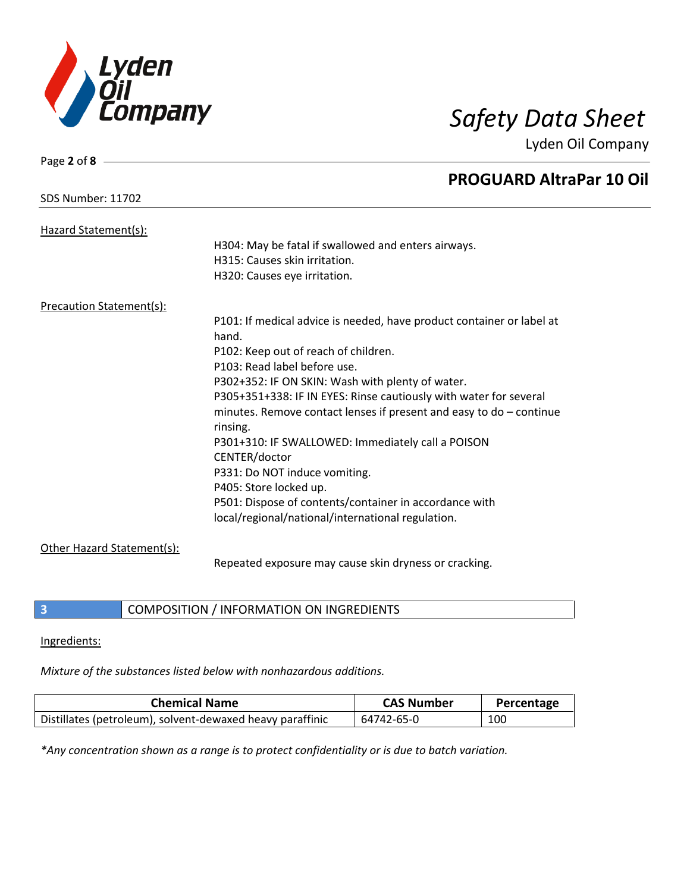

| Page 2 of $8 -$                 |                                                                       |
|---------------------------------|-----------------------------------------------------------------------|
|                                 | <b>PROGUARD AltraPar 10 Oil</b>                                       |
| SDS Number: 11702               |                                                                       |
| Hazard Statement(s):            |                                                                       |
|                                 | H304: May be fatal if swallowed and enters airways.                   |
|                                 | H315: Causes skin irritation.                                         |
|                                 | H320: Causes eye irritation.                                          |
| <b>Precaution Statement(s):</b> |                                                                       |
|                                 | P101: If medical advice is needed, have product container or label at |
|                                 | hand.                                                                 |
|                                 | P102: Keep out of reach of children.                                  |
|                                 | P103: Read label before use.                                          |
|                                 | P302+352: IF ON SKIN: Wash with plenty of water.                      |
|                                 | P305+351+338: IF IN EYES: Rinse cautiously with water for several     |
|                                 | minutes. Remove contact lenses if present and easy to $do$ – continue |
|                                 | rinsing.                                                              |
|                                 | P301+310: IF SWALLOWED: Immediately call a POISON                     |
|                                 | CENTER/doctor                                                         |
|                                 | P331: Do NOT induce vomiting.                                         |
|                                 | P405: Store locked up.                                                |
|                                 | P501: Dispose of contents/container in accordance with                |
|                                 | local/regional/national/international regulation.                     |
| Other Hazard Statement(s):      |                                                                       |
|                                 | Repeated exposure may cause skin dryness or cracking.                 |

**3** COMPOSITION / INFORMATION ON INGREDIENTS

Ingredients:

*Mixture of the substances listed below with nonhazardous additions.*

| <b>Chemical Name</b>                                      | <b>CAS Number</b> | Percentage |
|-----------------------------------------------------------|-------------------|------------|
| Distillates (petroleum), solvent-dewaxed heavy paraffinic | 64742-65-0        | 100        |

*\*Any concentration shown as a range is to protect confidentiality or is due to batch variation.*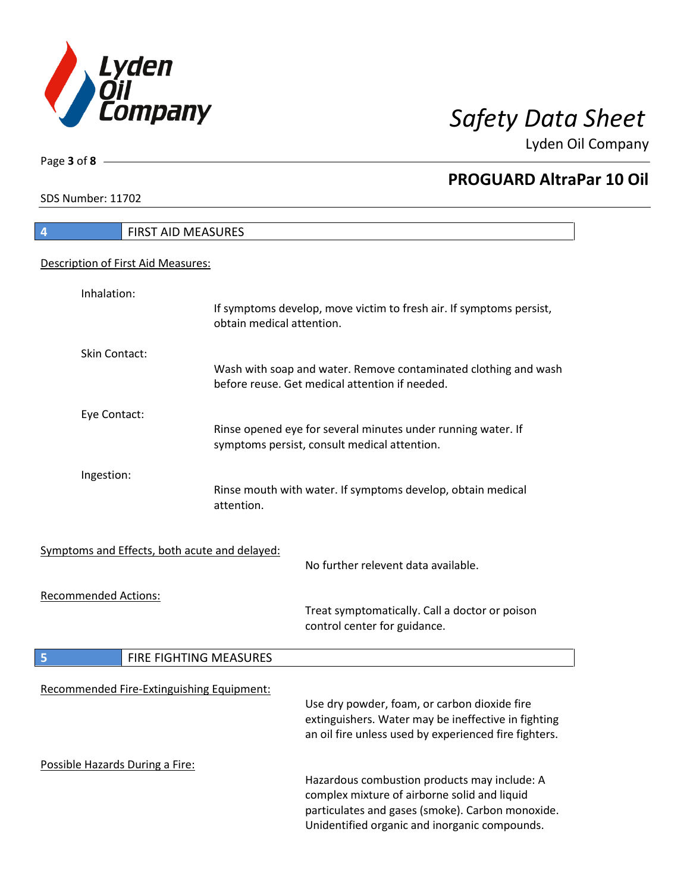![](_page_2_Picture_0.jpeg)

**PROGUARD AltraPar 10 Oil**

Lyden Oil Company

SDS Number: 11702

Page **3** of **8**

# **4** FIRST AID MEASURES Description of First Aid Measures: Inhalation: If symptoms develop, move victim to fresh air. If symptoms persist, obtain medical attention. Skin Contact: Wash with soap and water. Remove contaminated clothing and wash before reuse. Get medical attention if needed. Eye Contact: Rinse opened eye for several minutes under running water. If symptoms persist, consult medical attention. Ingestion: Rinse mouth with water. If symptoms develop, obtain medical attention. Symptoms and Effects, both acute and delayed: No further relevent data available. Recommended Actions: Treat symptomatically. Call a doctor or poison control center for guidance. **5** FIRE FIGHTING MEASURES Recommended Fire-Extinguishing Equipment: Use dry powder, foam, or carbon dioxide fire extinguishers. Water may be ineffective in fighting an oil fire unless used by experienced fire fighters. Possible Hazards During a Fire: Hazardous combustion products may include: A complex mixture of airborne solid and liquid particulates and gases (smoke). Carbon monoxide. Unidentified organic and inorganic compounds.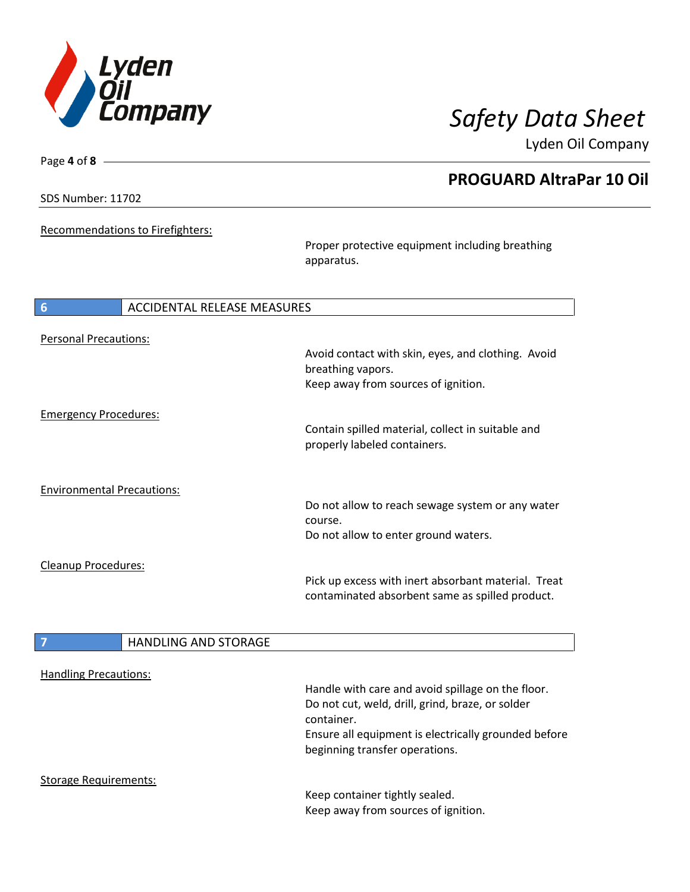![](_page_3_Picture_0.jpeg)

**PROGUARD AltraPar 10 Oil**

Lyden Oil Company

SDS Number: 11702

Page **4** of **8**

Recommendations to Firefighters:

Proper protective equipment including breathing apparatus.

| $6\phantom{1}6$                   | <b>ACCIDENTAL RELEASE MEASURES</b> |                                                                                                        |
|-----------------------------------|------------------------------------|--------------------------------------------------------------------------------------------------------|
| <b>Personal Precautions:</b>      |                                    |                                                                                                        |
|                                   |                                    | Avoid contact with skin, eyes, and clothing. Avoid<br>breathing vapors.                                |
|                                   |                                    | Keep away from sources of ignition.                                                                    |
| <b>Emergency Procedures:</b>      |                                    |                                                                                                        |
|                                   |                                    | Contain spilled material, collect in suitable and<br>properly labeled containers.                      |
| <b>Environmental Precautions:</b> |                                    |                                                                                                        |
|                                   |                                    | Do not allow to reach sewage system or any water<br>course.                                            |
|                                   |                                    | Do not allow to enter ground waters.                                                                   |
| Cleanup Procedures:               |                                    |                                                                                                        |
|                                   |                                    | Pick up excess with inert absorbant material. Treat<br>contaminated absorbent same as spilled product. |
|                                   |                                    |                                                                                                        |
| 7                                 | <b>HANDLING AND STORAGE</b>        |                                                                                                        |
| <b>Handling Precautions:</b>      |                                    |                                                                                                        |
|                                   |                                    | Handle with care and avoid spillage on the floor.                                                      |

container. Ensure all equipment is electrically grounded before beginning transfer operations.

Do not cut, weld, drill, grind, braze, or solder

Storage Requirements:

I

Keep container tightly sealed. Keep away from sources of ignition.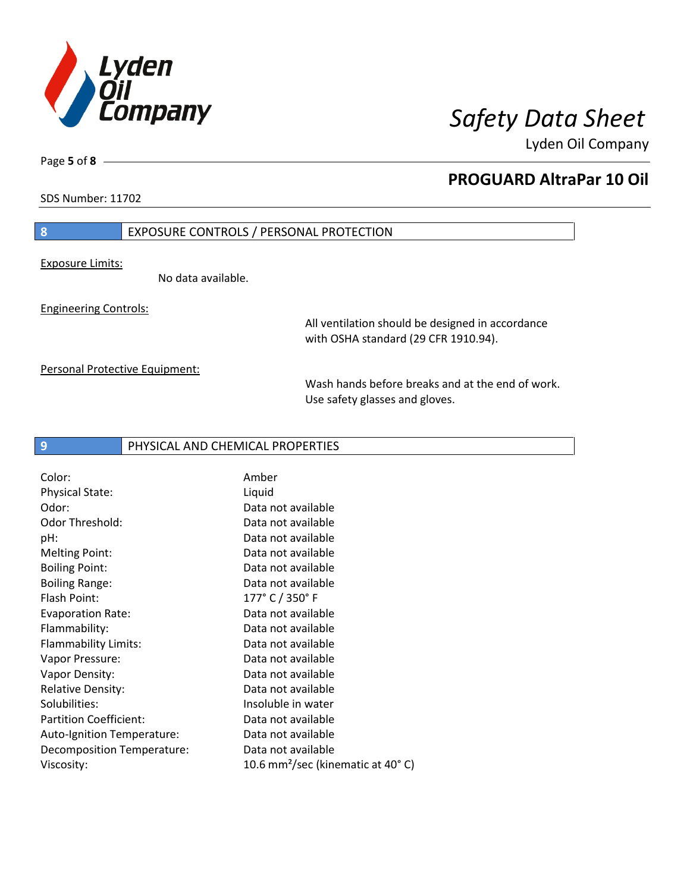![](_page_4_Picture_0.jpeg)

SDS Number: 11702

Page **5** of **8**

## **PROGUARD AltraPar 10 Oil**

## **8** EXPOSURE CONTROLS / PERSONAL PROTECTION

Exposure Limits:

No data available.

Engineering Controls:

All ventilation should be designed in accordance with OSHA standard (29 CFR 1910.94).

Personal Protective Equipment:

Wash hands before breaks and at the end of work. Use safety glasses and gloves.

## **9** PHYSICAL AND CHEMICAL PROPERTIES

| Color:                        | Amber                                                    |
|-------------------------------|----------------------------------------------------------|
| <b>Physical State:</b>        | Liquid                                                   |
| Odor:                         | Data not available                                       |
| Odor Threshold:               | Data not available                                       |
| pH:                           | Data not available                                       |
| <b>Melting Point:</b>         | Data not available                                       |
| <b>Boiling Point:</b>         | Data not available                                       |
| <b>Boiling Range:</b>         | Data not available                                       |
| Flash Point:                  | $177°$ C $/$ 350 $°$ F                                   |
| <b>Evaporation Rate:</b>      | Data not available                                       |
| Flammability:                 | Data not available                                       |
| Flammability Limits:          | Data not available                                       |
| Vapor Pressure:               | Data not available                                       |
| Vapor Density:                | Data not available                                       |
| <b>Relative Density:</b>      | Data not available                                       |
| Solubilities:                 | Insoluble in water                                       |
| <b>Partition Coefficient:</b> | Data not available                                       |
| Auto-Ignition Temperature:    | Data not available                                       |
| Decomposition Temperature:    | Data not available                                       |
| Viscosity:                    | 10.6 mm <sup>2</sup> /sec (kinematic at 40 $^{\circ}$ C) |
|                               |                                                          |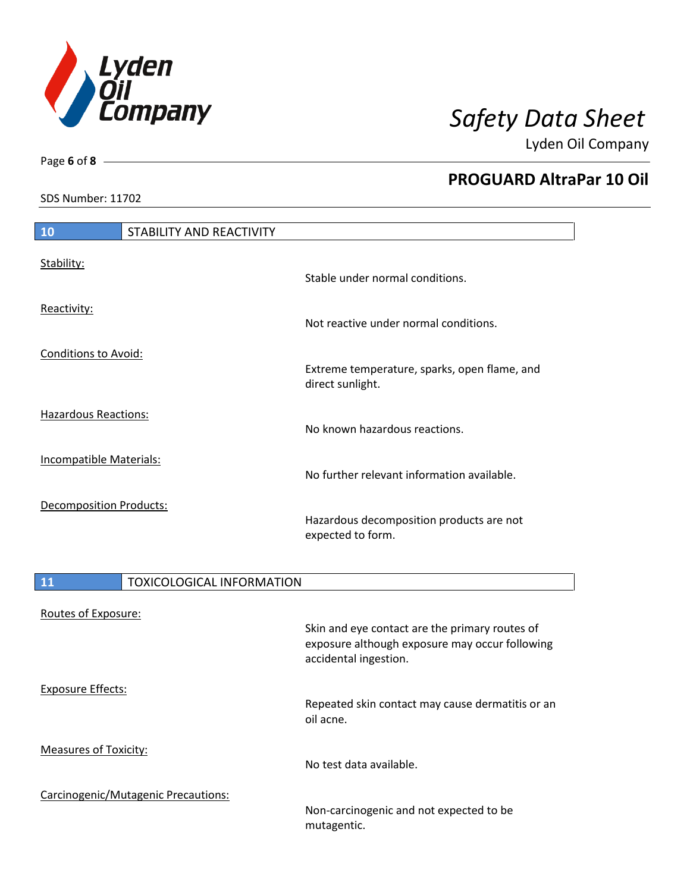![](_page_5_Picture_0.jpeg)

SDS Number: 11702

Page **6** of **8**

# **PROGUARD AltraPar 10 Oil**

| 10         | STABILITY AND REACTIVITY |                                 |
|------------|--------------------------|---------------------------------|
|            |                          |                                 |
| Stability: |                          |                                 |
|            |                          | Stable under normal conditions. |

Reactivity:

Conditions to Avoid:

Hazardous Reactions:

Incompatible Materials:

Decomposition Products:

Not reactive under normal conditions.

Extreme temperature, sparks, open flame, and

direct sunlight.

No known hazardous reactions.

No further relevant information available.

Hazardous decomposition products are not expected to form.

| 11                           | <b>TOXICOLOGICAL INFORMATION</b>    |                                                                                                                           |
|------------------------------|-------------------------------------|---------------------------------------------------------------------------------------------------------------------------|
| Routes of Exposure:          |                                     | Skin and eye contact are the primary routes of<br>exposure although exposure may occur following<br>accidental ingestion. |
| <b>Exposure Effects:</b>     |                                     | Repeated skin contact may cause dermatitis or an<br>oil acne.                                                             |
| <b>Measures of Toxicity:</b> |                                     | No test data available.                                                                                                   |
|                              | Carcinogenic/Mutagenic Precautions: | Non-carcinogenic and not expected to be<br>mutagentic.                                                                    |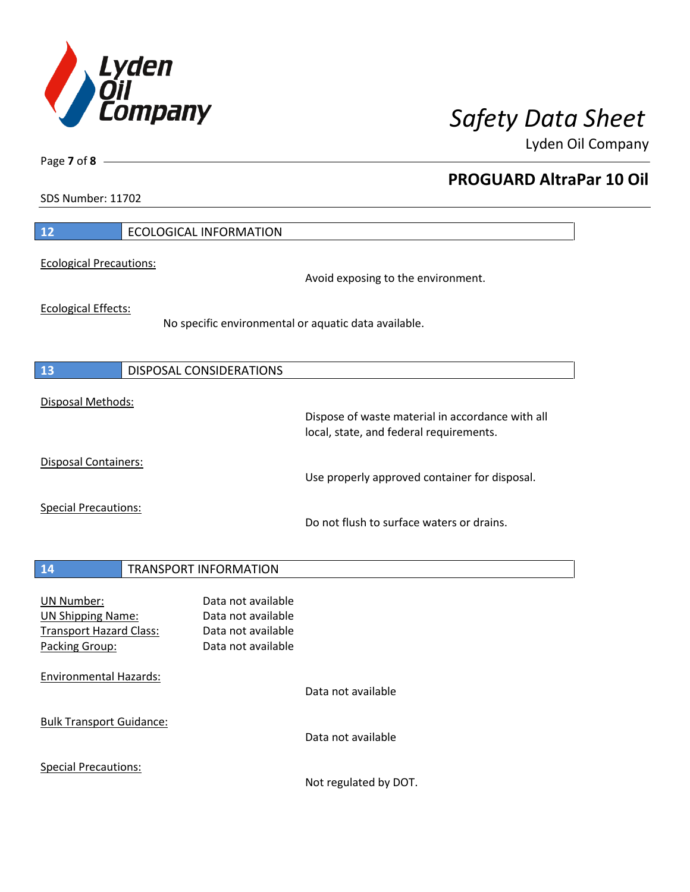![](_page_6_Picture_0.jpeg)

**PROGUARD AltraPar 10 Oil**

Lyden Oil Company

SDS Number: 11702

Page **7** of **8**

| 12                                                                                                | <b>ECOLOGICAL INFORMATION</b>                                                               |
|---------------------------------------------------------------------------------------------------|---------------------------------------------------------------------------------------------|
| <b>Ecological Precautions:</b>                                                                    | Avoid exposing to the environment.                                                          |
| <b>Ecological Effects:</b>                                                                        | No specific environmental or aquatic data available.                                        |
| 13                                                                                                | <b>DISPOSAL CONSIDERATIONS</b>                                                              |
| Disposal Methods:                                                                                 | Dispose of waste material in accordance with all<br>local, state, and federal requirements. |
| <b>Disposal Containers:</b>                                                                       | Use properly approved container for disposal.                                               |
| <b>Special Precautions:</b>                                                                       | Do not flush to surface waters or drains.                                                   |
| 14                                                                                                | <b>TRANSPORT INFORMATION</b>                                                                |
| <b>UN Number:</b><br><b>UN Shipping Name:</b><br><b>Transport Hazard Class:</b><br>Packing Group: | Data not available<br>Data not available<br>Data not available<br>Data not available        |
| <b>Environmental Hazards:</b>                                                                     | Data not available                                                                          |
| <b>Bulk Transport Guidance:</b>                                                                   | Data not available                                                                          |
| <b>Special Precautions:</b>                                                                       |                                                                                             |

Not regulated by DOT.